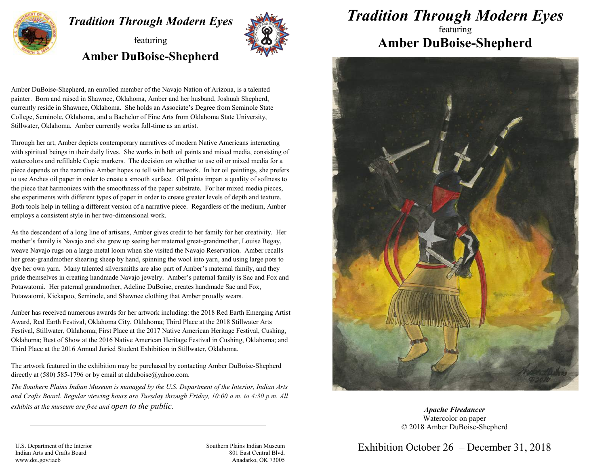

## *Tradition Through Modern Eyes*

## featuring **Amber DuBoise-Shepherd**



Amber DuBoise-Shepherd, an enrolled member of the Navajo Nation of Arizona, is a talented painter. Born and raised in Shawnee, Oklahoma, Amber and her husband, Joshuah Shepherd, currently reside in Shawnee, Oklahoma. She holds an Associate's Degree from Seminole State College, Seminole, Oklahoma, and a Bachelor of Fine Arts from Oklahoma State University, Stillwater, Oklahoma. Amber currently works full-time as an artist.

Through her art, Amber depicts contemporary narratives of modern Native Americans interacting with spiritual beings in their daily lives. She works in both oil paints and mixed media, consisting of watercolors and refillable Copic markers. The decision on whether to use oil or mixed media for a piece depends on the narrative Amber hopes to tell with her artwork. In her oil paintings, she prefers to use Arches oil paper in order to create a smooth surface. Oil paints impart a quality of softness to the piece that harmonizes with the smoothness of the paper substrate. For her mixed media pieces, she experiments with different types of paper in order to create greater levels of depth and texture. Both tools help in telling a different version of a narrative piece. Regardless of the medium, Amber employs a consistent style in her two-dimensional work.

As the descendent of a long line of artisans, Amber gives credit to her family for her creativity. Her mother's family is Navajo and she grew up seeing her maternal great-grandmother, Louise Begay, weave Navajo rugs on a large metal loom when she visited the Navajo Reservation. Amber recalls her great-grandmother shearing sheep by hand, spinning the wool into yarn, and using large pots to dye her own yarn. Many talented silversmiths are also part of Amber's maternal family, and they pride themselves in creating handmade Navajo jewelry. Amber's paternal family is Sac and Fox and Potawatomi. Her paternal grandmother, Adeline DuBoise, creates handmade Sac and Fox, Potawatomi, Kickapoo, Seminole, and Shawnee clothing that Amber proudly wears.

Amber has received numerous awards for her artwork including: the 2018 Red Earth Emerging Artist Award, Red Earth Festival, Oklahoma City, Oklahoma; Third Place at the 2018 Stillwater Arts Festival, Stillwater, Oklahoma; First Place at the 2017 Native American Heritage Festival, Cushing, Oklahoma; Best of Show at the 2016 Native American Heritage Festival in Cushing, Oklahoma; and Third Place at the 2016 Annual Juried Student Exhibition in Stillwater, Oklahoma.

The artwork featured in the exhibition may be purchased by contacting Amber DuBoise-Shepherd directly at (580) 585-1796 or by email at alduboise $\omega$ yahoo.com.

*The Southern Plains Indian Museum is managed by the U.S. Department of the Interior, Indian Arts and Crafts Board. Regular viewing hours are Tuesday through Friday, 10:00 a.m. to 4:30 p.m. All exhibits at the museum are free and open to the public.*

*Tradition Through Modern Eyes* 

## featuring **Amber DuBoise-Shepherd**



*Apache Firedancer* Watercolor on paper © 2018 Amber DuBoise-Shepherd

U.S. Department of the Interior Indian Arts and Crafts Board www.doi.gov/iacb

Southern Plains Indian Museum 801 East Central Blvd. Anadarko, OK 73005 Exhibition October 26 – December 31, 2018